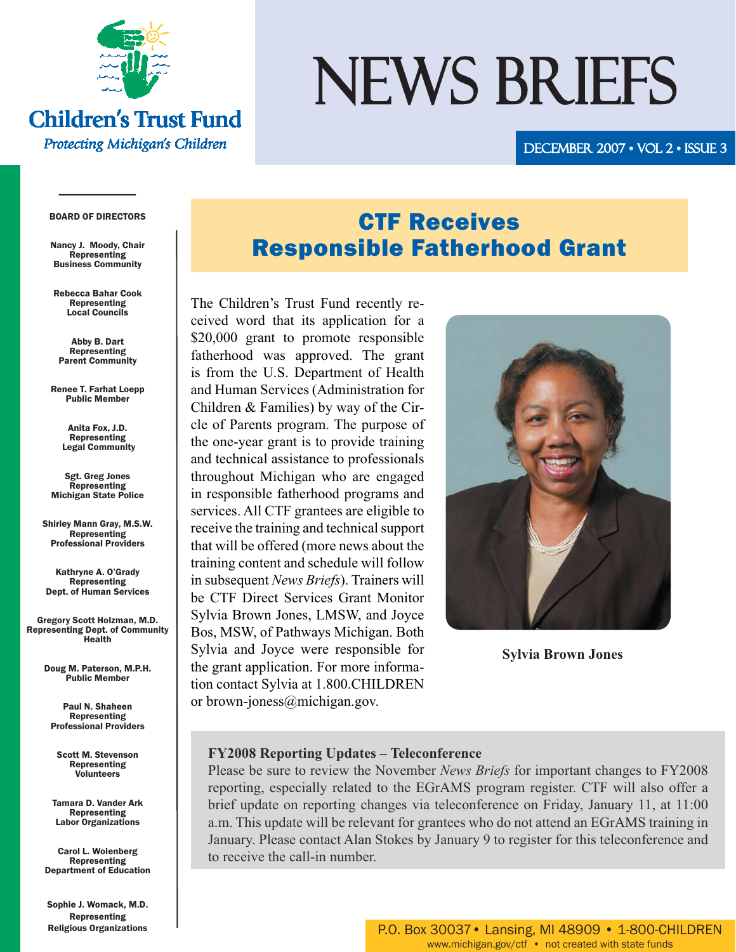

#### **Children's Trust Fund Protecting Michigan's Children**

# NEWS BRIEFS

DECEMBER 2007 • VOL 2 • ISSUE 3

#### BOARD OF DIRECTORS

Nancy J. Moody, Chair Representing Business Community

Rebecca Bahar Cook Representing Local Councils

Abby B. Dart Representing Parent Community

Renee T. Farhat Loepp Public Member

> Anita Fox, J.D. Representing Legal Community

Sgt. Greg Jones **Representing** Michigan State Police

Shirley Mann Gray, M.S.W. Representing Professional Providers

Kathryne A. O'Grady Representing Dept. of Human Services

Gregory Scott Holzman, M.D. Representing Dept. of Community Health

> Doug M. Paterson, M.P.H. Public Member

Paul N. Shaheen Representing Professional Providers

Scott M. Stevenson Representing Volunteers

Tamara D. Vander Ark Representing Labor Organizations

Carol L. Wolenberg Representing Department of Education

Sophie J. Womack, M.D. Representing Religious Organizations

# CTF Receives Responsible Fatherhood Grant

The Children's Trust Fund recently received word that its application for a \$20,000 grant to promote responsible fatherhood was approved. The grant is from the U.S. Department of Health and Human Services (Administration for Children & Families) by way of the Circle of Parents program. The purpose of the one-year grant is to provide training and technical assistance to professionals throughout Michigan who are engaged in responsible fatherhood programs and services. All CTF grantees are eligible to receive the training and technical support that will be offered (more news about the training content and schedule will follow in subsequent *News Briefs*). Trainers will be CTF Direct Services Grant Monitor Sylvia Brown Jones, LMSW, and Joyce Bos, MSW, of Pathways Michigan. Both Sylvia and Joyce were responsible for the grant application. For more information contact Sylvia at 1.800.CHILDREN or brown-joness@michigan.gov.



 **Sylvia Brown Jones**

#### **FY2008 Reporting Updates – Teleconference**

Please be sure to review the November *News Briefs* for important changes to FY2008 reporting, especially related to the EGrAMS program register. CTF will also offer a brief update on reporting changes via teleconference on Friday, January 11, at 11:00 a.m. This update will be relevant for grantees who do not attend an EGrAMS training in January. Please contact Alan Stokes by January 9 to register for this teleconference and to receive the call-in number.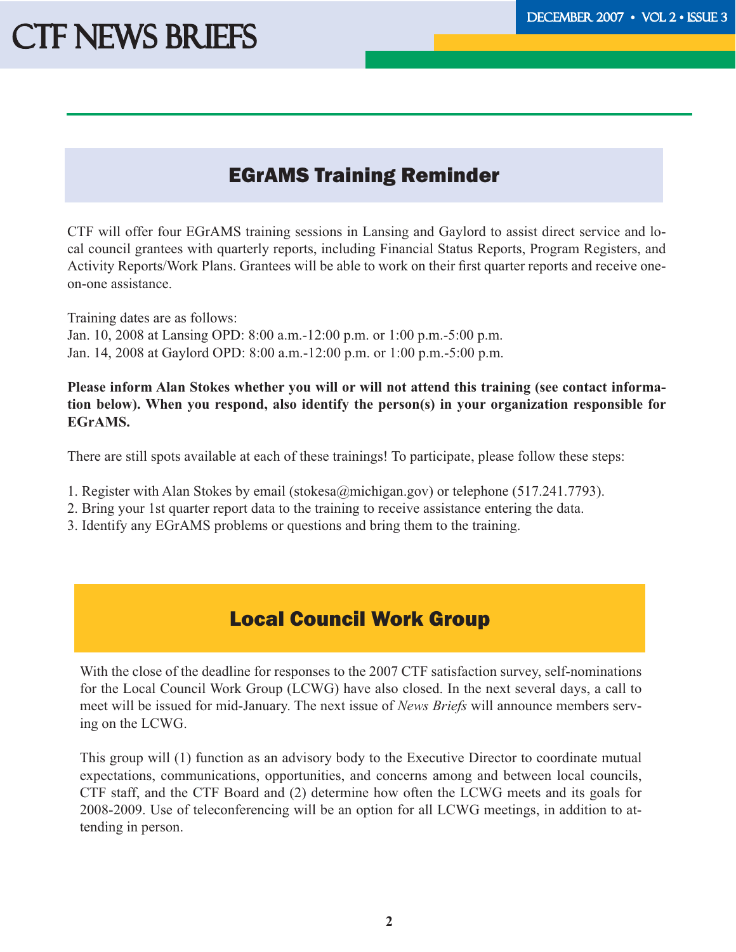# **CTF NEWS BRIEFS**

# EGrAMS Training Reminder

CTF will offer four EGrAMS training sessions in Lansing and Gaylord to assist direct service and local council grantees with quarterly reports, including Financial Status Reports, Program Registers, and Activity Reports/Work Plans. Grantees will be able to work on their first quarter reports and receive oneon-one assistance.

Training dates are as follows: Jan. 10, 2008 at Lansing OPD: 8:00 a.m.-12:00 p.m. or 1:00 p.m.-5:00 p.m. Jan. 14, 2008 at Gaylord OPD: 8:00 a.m.-12:00 p.m. or 1:00 p.m.-5:00 p.m.

**Please inform Alan Stokes whether you will or will not attend this training (see contact information below). When you respond, also identify the person(s) in your organization responsible for EGrAMS.** 

There are still spots available at each of these trainings! To participate, please follow these steps:

- 1. Register with Alan Stokes by email (stokesa@michigan.gov) or telephone (517.241.7793).
- 2. Bring your 1st quarter report data to the training to receive assistance entering the data.
- 3. Identify any EGrAMS problems or questions and bring them to the training.

### Local Council Work Group

With the close of the deadline for responses to the 2007 CTF satisfaction survey, self-nominations for the Local Council Work Group (LCWG) have also closed. In the next several days, a call to meet will be issued for mid-January. The next issue of *News Briefs* will announce members serving on the LCWG.

This group will (1) function as an advisory body to the Executive Director to coordinate mutual expectations, communications, opportunities, and concerns among and between local councils, CTF staff, and the CTF Board and (2) determine how often the LCWG meets and its goals for 2008-2009. Use of teleconferencing will be an option for all LCWG meetings, in addition to attending in person.